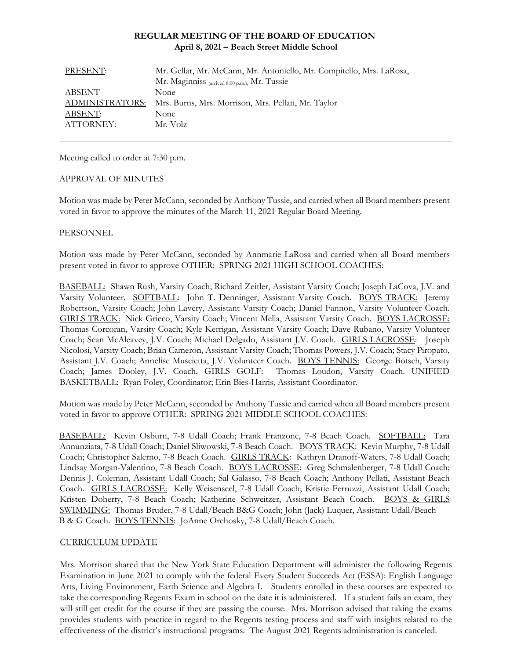## **REGULAR MEETING OF THE BOARD OF EDUCATION April 8, 2021 – Beach Street Middle School**

| PRESENT:        | Mr. Gellar, Mr. McCann, Mr. Antoniello, Mr. Compitello, Mrs. LaRosa, |
|-----------------|----------------------------------------------------------------------|
|                 | Mr. Maginniss (arrived 8:00 p.m.), Mr. Tussie                        |
| ABSENT          | None.                                                                |
| ADMINISTRATORS: | Mrs. Burns, Mrs. Morrison, Mrs. Pellati, Mr. Taylor                  |
| ABSENT:         | None                                                                 |
| ATTORNEY:       | Mr. Volz                                                             |

Meeting called to order at 7:30 p.m.

#### APPROVAL OF MINUTES

Motion was made by Peter McCann, seconded by Anthony Tussie, and carried when all Board members present voted in favor to approve the minutes of the March 11, 2021 Regular Board Meeting.

#### PERSONNEL

Motion was made by Peter McCann, seconded by Annmarie LaRosa and carried when all Board members present voted in favor to approve OTHER: SPRING 2021 HIGH SCHOOL COACHES:

BASEBALL: Shawn Rush, Varsity Coach; Richard Zeitler, Assistant Varsity Coach; Joseph LaCova, J.V. and Varsity Volunteer. SOFTBALL: John T. Denninger, Assistant Varsity Coach. BOYS TRACK: Jeremy Robertson, Varsity Coach; John Lavery, Assistant Varsity Coach; Daniel Fannon, Varsity Volunteer Coach. GIRLS TRACK: Nick Grieco, Varsity Coach; Vincent Melia, Assistant Varsity Coach. BOYS LACROSSE: Thomas Corcoran, Varsity Coach; Kyle Kerrigan, Assistant Varsity Coach; Dave Rubano, Varsity Volunteer Coach; Sean McAleavey, J.V. Coach; Michael Delgado, Assistant J.V. Coach. GIRLS LACROSSE: Joseph Nicolosi, Varsity Coach; Brian Cameron, Assistant Varsity Coach; Thomas Powers, J.V. Coach; Stacy Piropato, Assistant J.V. Coach; Annelise Muscietta, J.V. Volunteer Coach. BOYS TENNIS: George Botsch, Varsity Coach; James Dooley, J.V. Coach. GIRLS GOLF: Thomas Loudon, Varsity Coach. UNIFIED BASKETBALL: Ryan Foley, Coordinator; Erin Bies-Harris, Assistant Coordinator.

Motion was made by Peter McCann, seconded by Anthony Tussie and carried when all Board members present voted in favor to approve OTHER: SPRING 2021 MIDDLE SCHOOL COACHES:

BASEBALL: Kevin Osburn, 7-8 Udall Coach; Frank Franzone, 7-8 Beach Coach. SOFTBALL: Tara Annunziata, 7-8 Udall Coach; Daniel Sliwowski, 7-8 Beach Coach. BOYS TRACK: Kevin Murphy, 7-8 Udall Coach; Christopher Salerno, 7-8 Beach Coach. GIRLS TRACK: Kathryn Dranoff-Waters, 7-8 Udall Coach; Lindsay Morgan-Valentino, 7-8 Beach Coach. BOYS LACROSSE: Greg Schmalenberger, 7-8 Udall Coach; Dennis J. Coleman, Assistant Udall Coach; Sal Galasso, 7-8 Beach Coach; Anthony Pellati, Assistant Beach Coach. GIRLS LACROSSE: Kelly Weisenseel, 7-8 Udall Coach; Kristie Ferruzzi, Assistant Udall Coach; Kristen Doherty, 7-8 Beach Coach; Katherine Schweitzer, Assistant Beach Coach. BOYS & GIRLS SWIMMING: Thomas Bruder, 7-8 Udall/Beach B&G Coach; John (Jack) Luquer, Assistant Udall/Beach B & G Coach. BOYS TENNIS: JoAnne Orehosky, 7-8 Udall/Beach Coach.

#### CURRICULUM UPDATE

Mrs. Morrison shared that the New York State Education Department will administer the following Regents Examination in June 2021 to comply with the federal Every Student Succeeds Act (ESSA): English Language Arts, Living Environment, Earth Science and Algebra I. Students enrolled in these courses are expected to take the corresponding Regents Exam in school on the date it is administered. If a student fails an exam, they will still get credit for the course if they are passing the course. Mrs. Morrison advised that taking the exams provides students with practice in regard to the Regents testing process and staff with insights related to the effectiveness of the district's instructional programs. The August 2021 Regents administration is canceled.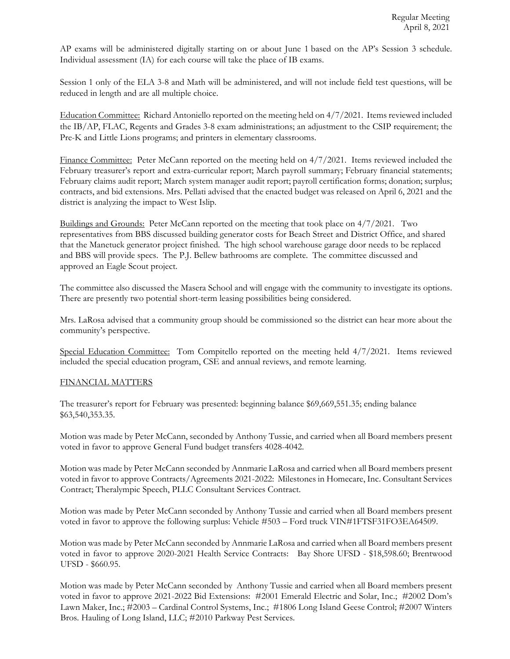AP exams will be administered digitally starting on or about June 1 based on the AP's Session 3 schedule. Individual assessment (IA) for each course will take the place of IB exams.

Session 1 only of the ELA 3-8 and Math will be administered, and will not include field test questions, will be reduced in length and are all multiple choice.

Education Committee: Richard Antoniello reported on the meeting held on 4/7/2021. Items reviewed included the IB/AP, FLAC, Regents and Grades 3-8 exam administrations; an adjustment to the CSIP requirement; the Pre-K and Little Lions programs; and printers in elementary classrooms.

Finance Committee: Peter McCann reported on the meeting held on 4/7/2021. Items reviewed included the February treasurer's report and extra-curricular report; March payroll summary; February financial statements; February claims audit report; March system manager audit report; payroll certification forms; donation; surplus; contracts, and bid extensions. Mrs. Pellati advised that the enacted budget was released on April 6, 2021 and the district is analyzing the impact to West Islip.

Buildings and Grounds: Peter McCann reported on the meeting that took place on 4/7/2021. Two representatives from BBS discussed building generator costs for Beach Street and District Office, and shared that the Manetuck generator project finished. The high school warehouse garage door needs to be replaced and BBS will provide specs. The P.J. Bellew bathrooms are complete. The committee discussed and approved an Eagle Scout project.

The committee also discussed the Masera School and will engage with the community to investigate its options. There are presently two potential short-term leasing possibilities being considered.

Mrs. LaRosa advised that a community group should be commissioned so the district can hear more about the community's perspective.

Special Education Committee: Tom Compitello reported on the meeting held  $4/7/2021$ . Items reviewed included the special education program, CSE and annual reviews, and remote learning.

#### FINANCIAL MATTERS

The treasurer's report for February was presented: beginning balance \$69,669,551.35; ending balance \$63,540,353.35.

Motion was made by Peter McCann, seconded by Anthony Tussie, and carried when all Board members present voted in favor to approve General Fund budget transfers 4028-4042.

Motion was made by Peter McCann seconded by Annmarie LaRosa and carried when all Board members present voted in favor to approve Contracts/Agreements 2021-2022: Milestones in Homecare, Inc. Consultant Services Contract; Theralympic Speech, PLLC Consultant Services Contract.

Motion was made by Peter McCann seconded by Anthony Tussie and carried when all Board members present voted in favor to approve the following surplus: Vehicle #503 – Ford truck VIN#1FTSF31FO3EA64509.

Motion was made by Peter McCann seconded by Annmarie LaRosa and carried when all Board members present voted in favor to approve 2020-2021 Health Service Contracts: Bay Shore UFSD - \$18,598.60; Brentwood UFSD - \$660.95.

Motion was made by Peter McCann seconded by Anthony Tussie and carried when all Board members present voted in favor to approve 2021-2022 Bid Extensions: #2001 Emerald Electric and Solar, Inc.; #2002 Dom's Lawn Maker, Inc.; #2003 – Cardinal Control Systems, Inc.; #1806 Long Island Geese Control; #2007 Winters Bros. Hauling of Long Island, LLC; #2010 Parkway Pest Services.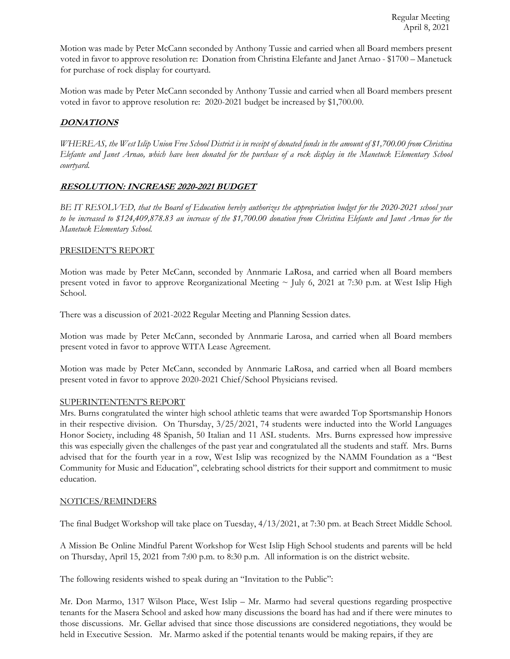Motion was made by Peter McCann seconded by Anthony Tussie and carried when all Board members present voted in favor to approve resolution re: Donation from Christina Elefante and Janet Arnao - \$1700 – Manetuck for purchase of rock display for courtyard.

Motion was made by Peter McCann seconded by Anthony Tussie and carried when all Board members present voted in favor to approve resolution re: 2020-2021 budget be increased by \$1,700.00.

## **DONATIONS**

*WHEREAS, the West Islip Union Free School District is in receipt of donated funds in the amount of \$1,700.00 from Christina Elefante and Janet Arnao, which have been donated for the purchase of a rock display in the Manetuck Elementary School courtyard.* 

## **RESOLUTION: INCREASE 2020-2021 BUDGET**

*BE IT RESOLVED, that the Board of Education hereby authorizes the appropriation budget for the 2020-2021 school year to be increased to \$124,409,878.83 an increase of the \$1,700.00 donation from Christina Elefante and Janet Arnao for the Manetuck Elementary School.* 

## PRESIDENT'S REPORT

Motion was made by Peter McCann, seconded by Annmarie LaRosa, and carried when all Board members present voted in favor to approve Reorganizational Meeting  $\sim$  July 6, 2021 at 7:30 p.m. at West Islip High School.

There was a discussion of 2021-2022 Regular Meeting and Planning Session dates.

Motion was made by Peter McCann, seconded by Annmarie Larosa, and carried when all Board members present voted in favor to approve WITA Lease Agreement.

Motion was made by Peter McCann, seconded by Annmarie LaRosa, and carried when all Board members present voted in favor to approve 2020-2021 Chief/School Physicians revised.

## SUPERINTENTENT'S REPORT

Mrs. Burns congratulated the winter high school athletic teams that were awarded Top Sportsmanship Honors in their respective division. On Thursday, 3/25/2021, 74 students were inducted into the World Languages Honor Society, including 48 Spanish, 50 Italian and 11 ASL students. Mrs. Burns expressed how impressive this was especially given the challenges of the past year and congratulated all the students and staff. Mrs. Burns advised that for the fourth year in a row, West Islip was recognized by the NAMM Foundation as a "Best Community for Music and Education", celebrating school districts for their support and commitment to music education.

## NOTICES/REMINDERS

The final Budget Workshop will take place on Tuesday, 4/13/2021, at 7:30 pm. at Beach Street Middle School.

A Mission Be Online Mindful Parent Workshop for West Islip High School students and parents will be held on Thursday, April 15, 2021 from 7:00 p.m. to 8:30 p.m. All information is on the district website.

The following residents wished to speak during an "Invitation to the Public":

Mr. Don Marmo, 1317 Wilson Place, West Islip – Mr. Marmo had several questions regarding prospective tenants for the Masera School and asked how many discussions the board has had and if there were minutes to those discussions. Mr. Gellar advised that since those discussions are considered negotiations, they would be held in Executive Session. Mr. Marmo asked if the potential tenants would be making repairs, if they are